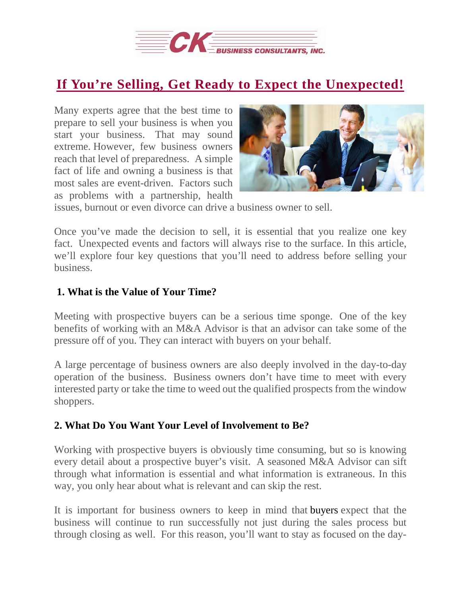

# **If You're Selling, Get Ready to Expect the [Unexpected!](https://deal-studio.com/if-youre-selling-get-ready-to-expect-the-unexpected/)**

Many experts agree that the best time to prepare to sell your business is when you start your business. That may sound extreme. However, few business owners reach that level of preparedness. A simple fact of life and owning a business is that most sales are event-driven. Factors such as problems with a partnership, health



issues, burnout or even divorce can drive a business owner to sell.

Once you've made the decision to sell, it is essential that you realize one key fact. Unexpected events and factors will always rise to the surface. In this article, we'll explore four key questions that you'll need to address before selling your business.

#### **1. What is the Value of Your Time?**

Meeting with prospective buyers can be a serious time sponge. One of the key benefits of working with an M&A Advisor is that an advisor can take some of the pressure off of you. They can interact with buyers on your behalf.

A large percentage of business owners are also deeply involved in the day-to-day operation of the business. Business owners don't have time to meet with every interested party or take the time to weed out the qualified prospects from the window shoppers.

#### **2. What Do You Want Your Level of Involvement to Be?**

Working with prospective buyers is obviously time consuming, but so is knowing every detail about a prospective buyer's visit. A seasoned M&A Advisor can sift through what information is essential and what information is extraneous. In this way, you only hear about what is relevant and can skip the rest.

It is important for business owners to keep in mind that buyers expect that the business will continue to run successfully not just during the sales process but through closing as well. For this reason, you'll want to stay as focused on the day